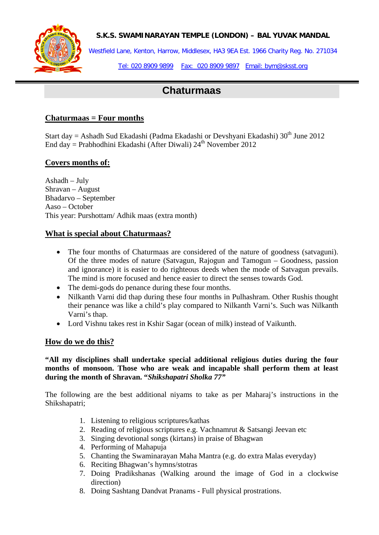

## **S.K.S. SWAMINARAYAN TEMPLE (LONDON) – BAL YUVAK MANDAL**

Westfield Lane, Kenton, Harrow, Middlesex, HA3 9EA Est. 1966 Charity Reg. No. 271034

Tel: 020 8909 9899 Fax: 020 8909 9897 Email: bym@sksst.org

# **Chaturmaas**

## **Chaturmaas = Four months**

Start day = Ashadh Sud Ekadashi (Padma Ekadashi or Devshyani Ekadashi) 30<sup>th</sup> June 2012 End day = Prabhodhini Ekadashi (After Diwali)  $24^{th}$  November 2012

## **Covers months of:**

Ashadh – July Shravan – August Bhadarvo – September Aaso – October This year: Purshottam/ Adhik maas (extra month)

## **What is special about Chaturmaas?**

- The four months of Chaturmaas are considered of the nature of goodness (satvaguni). Of the three modes of nature (Satvagun, Rajogun and Tamogun – Goodness, passion and ignorance) it is easier to do righteous deeds when the mode of Satvagun prevails. The mind is more focused and hence easier to direct the senses towards God.
- The demi-gods do penance during these four months.
- Nilkanth Varni did thap during these four months in Pulhashram. Other Rushis thought their penance was like a child's play compared to Nilkanth Varni's. Such was Nilkanth Varni's thap.
- Lord Vishnu takes rest in Kshir Sagar (ocean of milk) instead of Vaikunth.

## **How do we do this?**

**"All my disciplines shall undertake special additional religious duties during the four months of monsoon. Those who are weak and incapable shall perform them at least during the month of Shravan. "***Shikshapatri Sholka 77"* 

The following are the best additional niyams to take as per Maharaj's instructions in the Shikshapatri;

- 1. Listening to religious scriptures/kathas
- 2. Reading of religious scriptures e.g. Vachnamrut & Satsangi Jeevan etc
- 3. Singing devotional songs (kirtans) in praise of Bhagwan
- 4. Performing of Mahapuja
- 5. Chanting the Swaminarayan Maha Mantra (e.g. do extra Malas everyday)
- 6. Reciting Bhagwan's hymns/stotras
- 7. Doing Pradikshanas (Walking around the image of God in a clockwise direction)
- 8. Doing Sashtang Dandvat Pranams Full physical prostrations.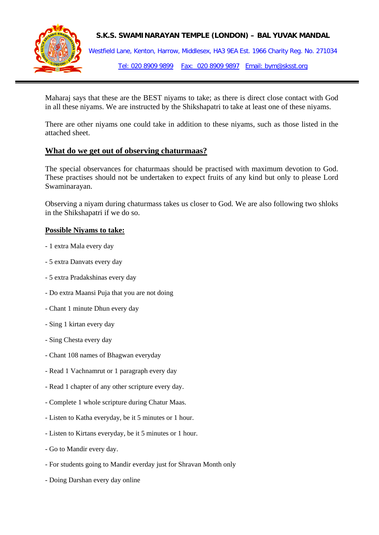

### **S.K.S. SWAMINARAYAN TEMPLE (LONDON) – BAL YUVAK MANDAL**

Westfield Lane, Kenton, Harrow, Middlesex, HA3 9EA Est. 1966 Charity Reg. No. 271034 Tel: 020 8909 9899 Fax: 020 8909 9897 Email: bym@sksst.org

Maharaj says that these are the BEST niyams to take; as there is direct close contact with God in all these niyams. We are instructed by the Shikshapatri to take at least one of these niyams.

There are other niyams one could take in addition to these niyams, such as those listed in the attached sheet.

## **What do we get out of observing chaturmaas?**

The special observances for chaturmaas should be practised with maximum devotion to God. These practises should not be undertaken to expect fruits of any kind but only to please Lord Swaminarayan.

Observing a niyam during chaturmass takes us closer to God. We are also following two shloks in the Shikshapatri if we do so.

#### **Possible Niyams to take:**

- 1 extra Mala every day
- 5 extra Danvats every day
- 5 extra Pradakshinas every day
- Do extra Maansi Puja that you are not doing
- Chant 1 minute Dhun every day
- Sing 1 kirtan every day
- Sing Chesta every day
- Chant 108 names of Bhagwan everyday
- Read 1 Vachnamrut or 1 paragraph every day
- Read 1 chapter of any other scripture every day.
- Complete 1 whole scripture during Chatur Maas.
- Listen to Katha everyday, be it 5 minutes or 1 hour.
- Listen to Kirtans everyday, be it 5 minutes or 1 hour.
- Go to Mandir every day.
- For students going to Mandir everday just for Shravan Month only
- Doing Darshan every day online